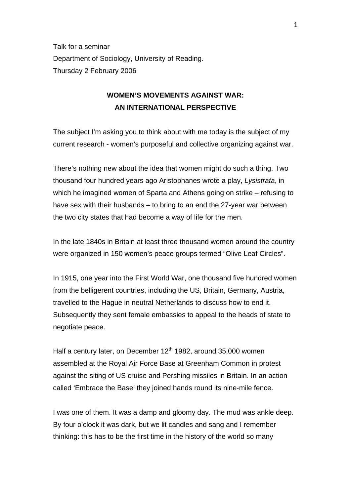Talk for a seminar Department of Sociology, University of Reading. Thursday 2 February 2006

# **WOMEN'S MOVEMENTS AGAINST WAR: AN INTERNATIONAL PERSPECTIVE**

The subject I'm asking you to think about with me today is the subject of my current research - women's purposeful and collective organizing against war.

There's nothing new about the idea that women might do such a thing. Two thousand four hundred years ago Aristophanes wrote a play, *Lysistrata*, in which he imagined women of Sparta and Athens going on strike – refusing to have sex with their husbands – to bring to an end the 27-year war between the two city states that had become a way of life for the men.

In the late 1840s in Britain at least three thousand women around the country were organized in 150 women's peace groups termed "Olive Leaf Circles".

In 1915, one year into the First World War, one thousand five hundred women from the belligerent countries, including the US, Britain, Germany, Austria, travelled to the Hague in neutral Netherlands to discuss how to end it. Subsequently they sent female embassies to appeal to the heads of state to negotiate peace.

Half a century later, on December  $12<sup>th</sup>$  1982, around 35,000 women assembled at the Royal Air Force Base at Greenham Common in protest against the siting of US cruise and Pershing missiles in Britain. In an action called 'Embrace the Base' they joined hands round its nine-mile fence.

I was one of them. It was a damp and gloomy day. The mud was ankle deep. By four o'clock it was dark, but we lit candles and sang and I remember thinking: this has to be the first time in the history of the world so many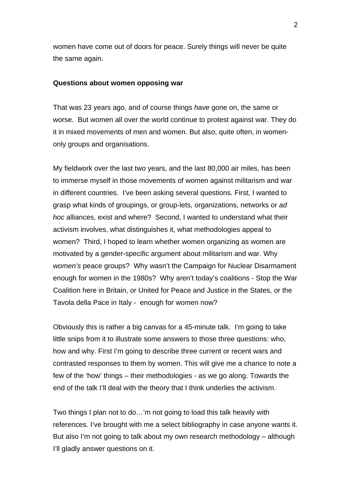women have come out of doors for peace. Surely things will never be quite the same again.

#### **Questions about women opposing war**

That was 23 years ago, and of course things *have* gone on, the same or worse. But women all over the world continue to protest against war. They do it in mixed movements of men and women. But also, quite often, in womenonly groups and organisations.

My fieldwork over the last two years, and the last 80,000 air miles, has been to immerse myself in those movements of women against militarism and war in different countries. I've been asking several questions. First, I wanted to grasp what kinds of groupings, or group-lets, organizations, networks or *ad hoc* alliances, exist and where? Second, I wanted to understand what their activism involves, what distinguishes it, what methodologies appeal to women? Third, I hoped to learn whether women organizing as women are motivated by a gender-specific argument about militarism and war. Why *women's* peace groups? Why wasn't the Campaign for Nuclear Disarmament enough for women in the 1980s? Why aren't today's coalitions - Stop the War Coalition here in Britain, or United for Peace and Justice in the States, or the Tavola della Pace in Italy - enough for women now?

Obviously this is rather a big canvas for a 45-minute talk. I'm going to take little snips from it to illustrate some answers to those three questions: who, how and why. First I'm going to describe three current or recent wars and contrasted responses to them by women. This will give me a chance to note a few of the 'how' things – their methodologies - as we go along. Towards the end of the talk I'll deal with the theory that I think underlies the activism.

Two things I plan not to do…'m not going to load this talk heavily with references. I've brought with me a select bibliography in case anyone wants it. But also I'm not going to talk about my own research methodology – although I'll gladly answer questions on it.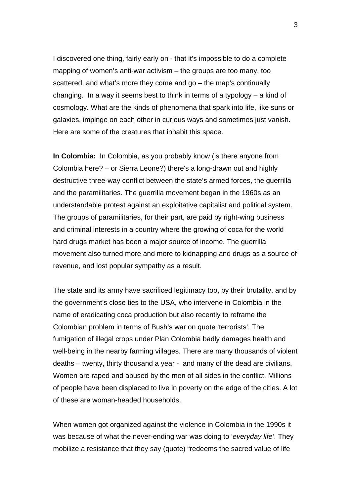I discovered one thing, fairly early on - that it's impossible to do a complete mapping of women's anti-war activism – the groups are too many, too scattered, and what's more they come and go – the map's continually changing. In a way it seems best to think in terms of a typology – a kind of cosmology. What are the kinds of phenomena that spark into life, like suns or galaxies, impinge on each other in curious ways and sometimes just vanish. Here are some of the creatures that inhabit this space.

**In Colombia:** In Colombia, as you probably know (is there anyone from Colombia here? – or Sierra Leone?) there's a long-drawn out and highly destructive three-way conflict between the state's armed forces, the guerrilla and the paramilitaries. The guerrilla movement began in the 1960s as an understandable protest against an exploitative capitalist and political system. The groups of paramilitaries, for their part, are paid by right-wing business and criminal interests in a country where the growing of coca for the world hard drugs market has been a major source of income. The guerrilla movement also turned more and more to kidnapping and drugs as a source of revenue, and lost popular sympathy as a result.

The state and its army have sacrificed legitimacy too, by their brutality, and by the government's close ties to the USA, who intervene in Colombia in the name of eradicating coca production but also recently to reframe the Colombian problem in terms of Bush's war on quote 'terrorists'. The fumigation of illegal crops under Plan Colombia badly damages health and well-being in the nearby farming villages. There are many thousands of violent deaths – twenty, thirty thousand a year - and many of the dead are civilians. Women are raped and abused by the men of all sides in the conflict. Millions of people have been displaced to live in poverty on the edge of the cities. A lot of these are woman-headed households.

When women got organized against the violence in Colombia in the 1990s it was because of what the never-ending war was doing to '*everyday life'*. They mobilize a resistance that they say (quote) "redeems the sacred value of life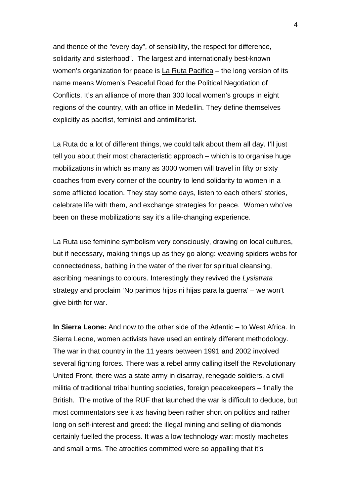and thence of the "every day", of sensibility, the respect for difference, solidarity and sisterhood". The largest and internationally best-known women's organization for peace is  $La Ruta Pacifica - the long version of its$ name means Women's Peaceful Road for the Political Negotiation of Conflicts. It's an alliance of more than 300 local women's groups in eight regions of the country, with an office in Medellin. They define themselves explicitly as pacifist, feminist and antimilitarist.

La Ruta do a lot of different things, we could talk about them all day. I'll just tell you about their most characteristic approach – which is to organise huge mobilizations in which as many as 3000 women will travel in fifty or sixty coaches from every corner of the country to lend solidarity to women in a some afflicted location. They stay some days, listen to each others' stories, celebrate life with them, and exchange strategies for peace. Women who've been on these mobilizations say it's a life-changing experience.

La Ruta use feminine symbolism very consciously, drawing on local cultures, but if necessary, making things up as they go along: weaving spiders webs for connectedness, bathing in the water of the river for spiritual cleansing, ascribing meanings to colours. Interestingly they revived the *Lysistrata*  strategy and proclaim 'No parimos hijos ni hijas para la guerra' – we won't give birth for war.

**In Sierra Leone:** And now to the other side of the Atlantic – to West Africa. In Sierra Leone, women activists have used an entirely different methodology. The war in that country in the 11 years between 1991 and 2002 involved several fighting forces. There was a rebel army calling itself the Revolutionary United Front, there was a state army in disarray, renegade soldiers, a civil militia of traditional tribal hunting societies, foreign peacekeepers – finally the British. The motive of the RUF that launched the war is difficult to deduce, but most commentators see it as having been rather short on politics and rather long on self-interest and greed: the illegal mining and selling of diamonds certainly fuelled the process. It was a low technology war: mostly machetes and small arms. The atrocities committed were so appalling that it's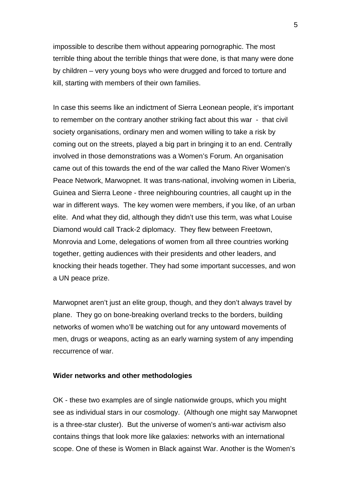impossible to describe them without appearing pornographic. The most terrible thing about the terrible things that were done, is that many were done by children – very young boys who were drugged and forced to torture and kill, starting with members of their own families.

In case this seems like an indictment of Sierra Leonean people, it's important to remember on the contrary another striking fact about this war - that civil society organisations, ordinary men and women willing to take a risk by coming out on the streets, played a big part in bringing it to an end. Centrally involved in those demonstrations was a Women's Forum. An organisation came out of this towards the end of the war called the Mano River Women's Peace Network, Marwopnet. It was trans-national, involving women in Liberia, Guinea and Sierra Leone - three neighbouring countries, all caught up in the war in different ways. The key women were members, if you like, of an urban elite. And what they did, although they didn't use this term, was what Louise Diamond would call Track-2 diplomacy. They flew between Freetown, Monrovia and Lome, delegations of women from all three countries working together, getting audiences with their presidents and other leaders, and knocking their heads together. They had some important successes, and won a UN peace prize.

Marwopnet aren't just an elite group, though, and they don't always travel by plane. They go on bone-breaking overland trecks to the borders, building networks of women who'll be watching out for any untoward movements of men, drugs or weapons, acting as an early warning system of any impending reccurrence of war.

### **Wider networks and other methodologies**

OK - these two examples are of single nationwide groups, which you might see as individual stars in our cosmology. (Although one might say Marwopnet is a three-star cluster). But the universe of women's anti-war activism also contains things that look more like galaxies: networks with an international scope. One of these is Women in Black against War. Another is the Women's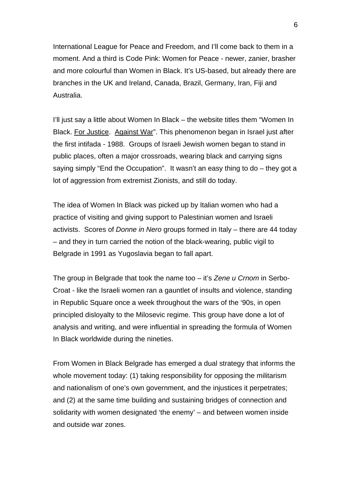International League for Peace and Freedom, and I'll come back to them in a moment. And a third is Code Pink: Women for Peace - newer, zanier, brasher and more colourful than Women in Black. It's US-based, but already there are branches in the UK and Ireland, Canada, Brazil, Germany, Iran, Fiji and Australia.

I'll just say a little about Women In Black – the website titles them "Women In Black. For Justice. Against War". This phenomenon began in Israel just after the first intifada - 1988. Groups of Israeli Jewish women began to stand in public places, often a major crossroads, wearing black and carrying signs saying simply "End the Occupation". It wasn't an easy thing to do – they got a lot of aggression from extremist Zionists, and still do today.

The idea of Women In Black was picked up by Italian women who had a practice of visiting and giving support to Palestinian women and Israeli activists. Scores of *Donne in Nero* groups formed in Italy – there are 44 today – and they in turn carried the notion of the black-wearing, public vigil to Belgrade in 1991 as Yugoslavia began to fall apart.

The group in Belgrade that took the name too – it's *Zene u Crnom* in Serbo-Croat - like the Israeli women ran a gauntlet of insults and violence, standing in Republic Square once a week throughout the wars of the '90s, in open principled disloyalty to the Milosevic regime. This group have done a lot of analysis and writing, and were influential in spreading the formula of Women In Black worldwide during the nineties.

From Women in Black Belgrade has emerged a dual strategy that informs the whole movement today: (1) taking responsibility for opposing the militarism and nationalism of one's own government, and the injustices it perpetrates; and (2) at the same time building and sustaining bridges of connection and solidarity with women designated 'the enemy' – and between women inside and outside war zones.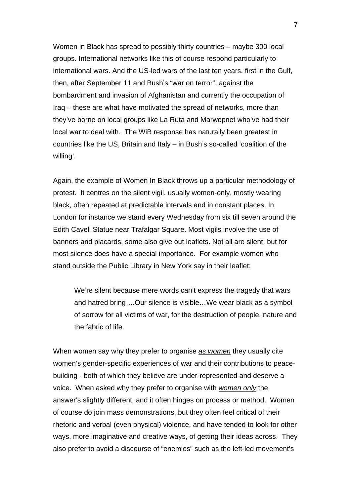Women in Black has spread to possibly thirty countries – maybe 300 local groups. International networks like this of course respond particularly to international wars. And the US-led wars of the last ten years, first in the Gulf, then, after September 11 and Bush's "war on terror", against the bombardment and invasion of Afghanistan and currently the occupation of Iraq – these are what have motivated the spread of networks, more than they've borne on local groups like La Ruta and Marwopnet who've had their local war to deal with. The WiB response has naturally been greatest in countries like the US, Britain and Italy – in Bush's so-called 'coalition of the willing'.

Again, the example of Women In Black throws up a particular methodology of protest. It centres on the silent vigil, usually women-only, mostly wearing black, often repeated at predictable intervals and in constant places. In London for instance we stand every Wednesday from six till seven around the Edith Cavell Statue near Trafalgar Square. Most vigils involve the use of banners and placards, some also give out leaflets. Not all are silent, but for most silence does have a special importance. For example women who stand outside the Public Library in New York say in their leaflet:

We're silent because mere words can't express the tragedy that wars and hatred bring….Our silence is visible…We wear black as a symbol of sorrow for all victims of war, for the destruction of people, nature and the fabric of life.

When women say why they prefer to organise *as women* they usually cite women's gender-specific experiences of war and their contributions to peacebuilding - both of which they believe are under-represented and deserve a voice. When asked why they prefer to organise with *women only* the answer's slightly different, and it often hinges on process or method. Women of course do join mass demonstrations, but they often feel critical of their rhetoric and verbal (even physical) violence, and have tended to look for other ways, more imaginative and creative ways, of getting their ideas across. They also prefer to avoid a discourse of "enemies" such as the left-led movement's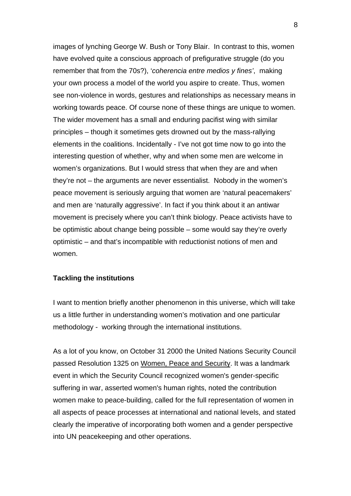images of lynching George W. Bush or Tony Blair. In contrast to this, women have evolved quite a conscious approach of prefigurative struggle (do you remember that from the 70s?), '*coherencia entre medios y fines'*, making your own process a model of the world you aspire to create. Thus, women see non-violence in words, gestures and relationships as necessary means in working towards peace. Of course none of these things are unique to women. The wider movement has a small and enduring pacifist wing with similar principles – though it sometimes gets drowned out by the mass-rallying elements in the coalitions. Incidentally - I've not got time now to go into the interesting question of whether, why and when some men are welcome in women's organizations. But I would stress that when they are and when they're not – the arguments are never essentialist. Nobody in the women's peace movement is seriously arguing that women are 'natural peacemakers' and men are 'naturally aggressive'. In fact if you think about it an antiwar movement is precisely where you can't think biology. Peace activists have to be optimistic about change being possible – some would say they're overly optimistic – and that's incompatible with reductionist notions of men and women.

### **Tackling the institutions**

I want to mention briefly another phenomenon in this universe, which will take us a little further in understanding women's motivation and one particular methodology - working through the international institutions.

As a lot of you know, on October 31 2000 the United Nations Security Council passed Resolution 1325 on Women, Peace and Security. It was a landmark event in which the Security Council recognized women's gender-specific suffering in war, asserted women's human rights, noted the contribution women make to peace-building, called for the full representation of women in all aspects of peace processes at international and national levels, and stated clearly the imperative of incorporating both women and a gender perspective into UN peacekeeping and other operations.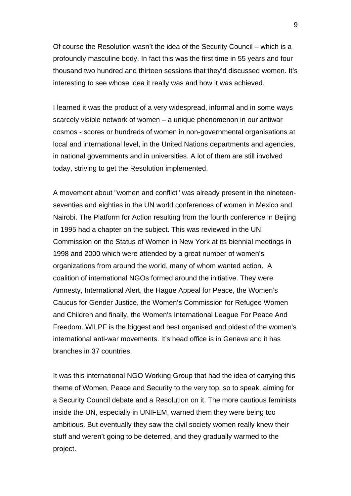Of course the Resolution wasn't the idea of the Security Council – which is a profoundly masculine body. In fact this was the first time in 55 years and four thousand two hundred and thirteen sessions that they'd discussed women. It's interesting to see whose idea it really was and how it was achieved.

I learned it was the product of a very widespread, informal and in some ways scarcely visible network of women – a unique phenomenon in our antiwar cosmos - scores or hundreds of women in non-governmental organisations at local and international level, in the United Nations departments and agencies, in national governments and in universities. A lot of them are still involved today, striving to get the Resolution implemented.

A movement about "women and conflict" was already present in the nineteenseventies and eighties in the UN world conferences of women in Mexico and Nairobi. The Platform for Action resulting from the fourth conference in Beijing in 1995 had a chapter on the subject. This was reviewed in the UN Commission on the Status of Women in New York at its biennial meetings in 1998 and 2000 which were attended by a great number of women's organizations from around the world, many of whom wanted action. A coalition of international NGOs formed around the initiative. They were Amnesty, International Alert, the Hague Appeal for Peace, the Women's Caucus for Gender Justice, the Women's Commission for Refugee Women and Children and finally, the Women's International League For Peace And Freedom. WILPF is the biggest and best organised and oldest of the women's international anti-war movements. It's head office is in Geneva and it has branches in 37 countries.

It was this international NGO Working Group that had the idea of carrying this theme of Women, Peace and Security to the very top, so to speak, aiming for a Security Council debate and a Resolution on it. The more cautious feminists inside the UN, especially in UNIFEM, warned them they were being too ambitious. But eventually they saw the civil society women really knew their stuff and weren't going to be deterred, and they gradually warmed to the project.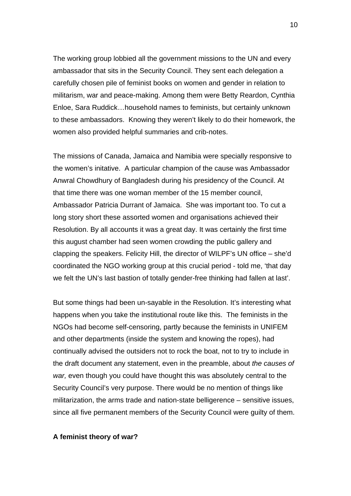The working group lobbied all the government missions to the UN and every ambassador that sits in the Security Council. They sent each delegation a carefully chosen pile of feminist books on women and gender in relation to militarism, war and peace-making. Among them were Betty Reardon, Cynthia Enloe, Sara Ruddick…household names to feminists, but certainly unknown to these ambassadors. Knowing they weren't likely to do their homework, the women also provided helpful summaries and crib-notes.

The missions of Canada, Jamaica and Namibia were specially responsive to the women's initative. A particular champion of the cause was Ambassador Anwral Chowdhury of Bangladesh during his presidency of the Council. At that time there was one woman member of the 15 member council, Ambassador Patricia Durrant of Jamaica. She was important too. To cut a long story short these assorted women and organisations achieved their Resolution. By all accounts it was a great day. It was certainly the first time this august chamber had seen women crowding the public gallery and clapping the speakers. Felicity Hill, the director of WILPF's UN office – she'd coordinated the NGO working group at this crucial period - told me, 'that day we felt the UN's last bastion of totally gender-free thinking had fallen at last'.

But some things had been un-sayable in the Resolution. It's interesting what happens when you take the institutional route like this. The feminists in the NGOs had become self-censoring, partly because the feminists in UNIFEM and other departments (inside the system and knowing the ropes), had continually advised the outsiders not to rock the boat, not to try to include in the draft document any statement, even in the preamble, about *the causes of war,* even though you could have thought this was absolutely central to the Security Council's very purpose. There would be no mention of things like militarization, the arms trade and nation-state belligerence – sensitive issues, since all five permanent members of the Security Council were guilty of them.

## **A feminist theory of war?**

10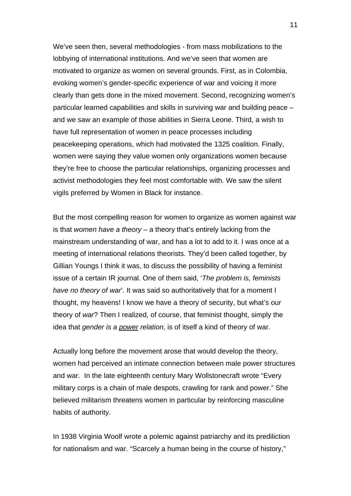We've seen then, several methodologies - from mass mobilizations to the lobbying of international institutions. And we've seen that women are motivated to organize as women on several grounds. First, as in Colombia, evoking women's gender-specific experience of war and voicing it more clearly than gets done in the mixed movement. Second, recognizing women's particular learned capabilities and skills in surviving war and building peace – and we saw an example of those abilities in Sierra Leone. Third, a wish to have full representation of women in peace processes including peacekeeping operations, which had motivated the 1325 coalition. Finally, women were saying they value women only organizations women because they're free to choose the particular relationships, organizing processes and activist methodologies they feel most comfortable with. We saw the silent vigils preferred by Women in Black for instance.

But the most compelling reason for women to organize as women against war is that *women have a theory* – a theory that's entirely lacking from the mainstream understanding of war, and has a lot to add to it. I was once at a meeting of international relations theorists. They'd been called together, by Gillian Youngs I think it was, to discuss the possibility of having a feminist issue of a certain IR journal. One of them said, '*The problem is, feminists have no theory of war*'. It was said so authoritatively that for a moment I thought, my heavens! I know we have a theory of security, but what's our theory of *war*? Then I realized, of course, that feminist thought, simply the idea that *gender is a power relation*, is of itself a kind of theory of war.

Actually long before the movement arose that would develop the theory, women had perceived an intimate connection between male power structures and war. In the late eighteenth century Mary Wollstonecraft wrote "Every military corps is a chain of male despots, crawling for rank and power." She believed militarism threatens women in particular by reinforcing masculine habits of authority.

In 1938 Virginia Woolf wrote a polemic against patriarchy and its prediliction for nationalism and war. "Scarcely a human being in the course of history,"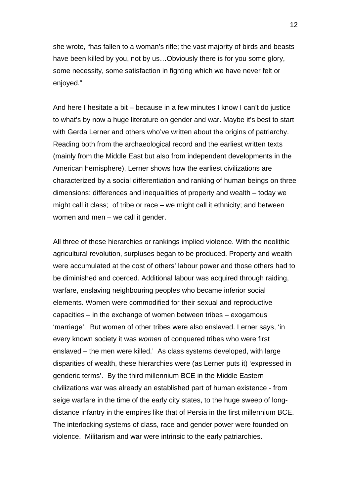she wrote, "has fallen to a woman's rifle; the vast majority of birds and beasts have been killed by you, not by us... Obviously there is for you some glory, some necessity, some satisfaction in fighting which we have never felt or enjoyed."

And here I hesitate a bit – because in a few minutes I know I can't do justice to what's by now a huge literature on gender and war. Maybe it's best to start with Gerda Lerner and others who've written about the origins of patriarchy. Reading both from the archaeological record and the earliest written texts (mainly from the Middle East but also from independent developments in the American hemisphere), Lerner shows how the earliest civilizations are characterized by a social differentiation and ranking of human beings on three dimensions: differences and inequalities of property and wealth – today we might call it class; of tribe or race – we might call it ethnicity; and between women and men – we call it gender.

All three of these hierarchies or rankings implied violence. With the neolithic agricultural revolution, surpluses began to be produced. Property and wealth were accumulated at the cost of others' labour power and those others had to be diminished and coerced. Additional labour was acquired through raiding, warfare, enslaving neighbouring peoples who became inferior social elements. Women were commodified for their sexual and reproductive capacities – in the exchange of women between tribes – exogamous 'marriage'. But women of other tribes were also enslaved. Lerner says, 'in every known society it was *women* of conquered tribes who were first enslaved – the men were killed.' As class systems developed, with large disparities of wealth, these hierarchies were (as Lerner puts it) 'expressed in genderic terms'. By the third millennium BCE in the Middle Eastern civilizations war was already an established part of human existence - from seige warfare in the time of the early city states, to the huge sweep of longdistance infantry in the empires like that of Persia in the first millennium BCE. The interlocking systems of class, race and gender power were founded on violence. Militarism and war were intrinsic to the early patriarchies.

12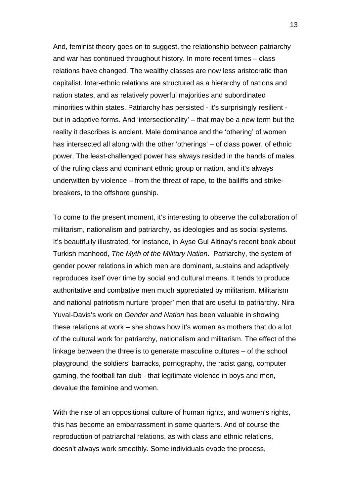And, feminist theory goes on to suggest, the relationship between patriarchy and war has continued throughout history. In more recent times – class relations have changed. The wealthy classes are now less aristocratic than capitalist. Inter-ethnic relations are structured as a hierarchy of nations and nation states, and as relatively powerful majorities and subordinated minorities within states. Patriarchy has persisted - it's surprisingly resilient but in adaptive forms. And 'intersectionality' – that may be a new term but the reality it describes is ancient. Male dominance and the 'othering' of women has intersected all along with the other 'otherings' – of class power, of ethnic power. The least-challenged power has always resided in the hands of males of the ruling class and dominant ethnic group or nation, and it's always underwitten by violence – from the threat of rape, to the bailiffs and strikebreakers, to the offshore gunship.

To come to the present moment, it's interesting to observe the collaboration of militarism, nationalism and patriarchy, as ideologies and as social systems. It's beautifully illustrated, for instance, in Ayse Gul Altinay's recent book about Turkish manhood, *The Myth of the Military Nation*. Patriarchy, the system of gender power relations in which men are dominant, sustains and adaptively reproduces itself over time by social and cultural means. It tends to produce authoritative and combative men much appreciated by militarism. Militarism and national patriotism nurture 'proper' men that are useful to patriarchy. Nira Yuval-Davis's work on *Gender and Nation* has been valuable in showing these relations at work – she shows how it's women as mothers that do a lot of the cultural work for patriarchy, nationalism and militarism. The effect of the linkage between the three is to generate masculine cultures – of the school playground, the soldiers' barracks, pornography, the racist gang, computer gaming, the football fan club - that legitimate violence in boys and men, devalue the feminine and women.

With the rise of an oppositional culture of human rights, and women's rights, this has become an embarrassment in some quarters. And of course the reproduction of patriarchal relations, as with class and ethnic relations, doesn't always work smoothly. Some individuals evade the process,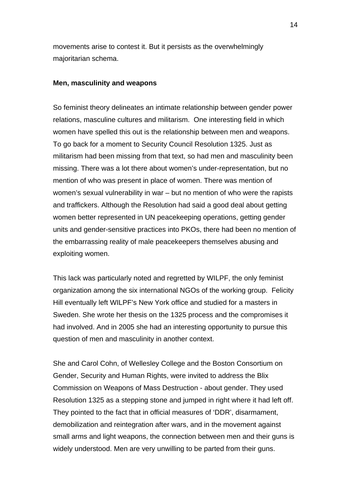movements arise to contest it. But it persists as the overwhelmingly majoritarian schema.

### **Men, masculinity and weapons**

So feminist theory delineates an intimate relationship between gender power relations, masculine cultures and militarism. One interesting field in which women have spelled this out is the relationship between men and weapons. To go back for a moment to Security Council Resolution 1325. Just as militarism had been missing from that text, so had men and masculinity been missing. There was a lot there about women's under-representation, but no mention of who was present in place of women. There was mention of women's sexual vulnerability in war – but no mention of who were the rapists and traffickers. Although the Resolution had said a good deal about getting women better represented in UN peacekeeping operations, getting gender units and gender-sensitive practices into PKOs, there had been no mention of the embarrassing reality of male peacekeepers themselves abusing and exploiting women.

This lack was particularly noted and regretted by WILPF, the only feminist organization among the six international NGOs of the working group. Felicity Hill eventually left WILPF's New York office and studied for a masters in Sweden. She wrote her thesis on the 1325 process and the compromises it had involved. And in 2005 she had an interesting opportunity to pursue this question of men and masculinity in another context.

She and Carol Cohn, of Wellesley College and the Boston Consortium on Gender, Security and Human Rights, were invited to address the Blix Commission on Weapons of Mass Destruction - about gender. They used Resolution 1325 as a stepping stone and jumped in right where it had left off. They pointed to the fact that in official measures of 'DDR', disarmament, demobilization and reintegration after wars, and in the movement against small arms and light weapons, the connection between men and their guns is widely understood. Men are very unwilling to be parted from their guns.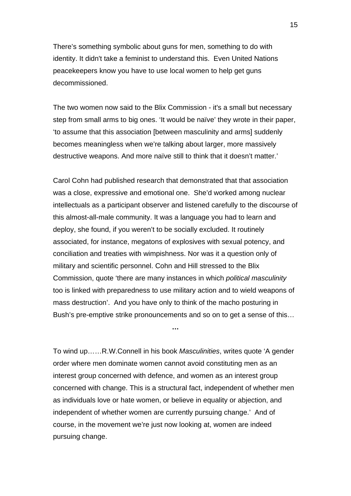There's something symbolic about guns for men, something to do with identity. It didn't take a feminist to understand this. Even United Nations peacekeepers know you have to use local women to help get guns decommissioned.

The two women now said to the Blix Commission - it's a small but necessary step from small arms to big ones. 'It would be naïve' they wrote in their paper, 'to assume that this association [between masculinity and arms] suddenly becomes meaningless when we're talking about larger, more massively destructive weapons. And more naïve still to think that it doesn't matter.'

Carol Cohn had published research that demonstrated that that association was a close, expressive and emotional one. She'd worked among nuclear intellectuals as a participant observer and listened carefully to the discourse of this almost-all-male community. It was a language you had to learn and deploy, she found, if you weren't to be socially excluded. It routinely associated, for instance, megatons of explosives with sexual potency, and conciliation and treaties with wimpishness. Nor was it a question only of military and scientific personnel. Cohn and Hill stressed to the Blix Commission, quote 'there are many instances in which *political masculinity* too is linked with preparedness to use military action and to wield weapons of mass destruction'. And you have only to think of the macho posturing in Bush's pre-emptive strike pronouncements and so on to get a sense of this…

To wind up……R.W.Connell in his book *Masculinities*, writes quote 'A gender order where men dominate women cannot avoid constituting men as an interest group concerned with defence, and women as an interest group concerned with change. This is a structural fact, independent of whether men as individuals love or hate women, or believe in equality or abjection, and independent of whether women are currently pursuing change.' And of course, in the movement we're just now looking at, women are indeed pursuing change.

**…**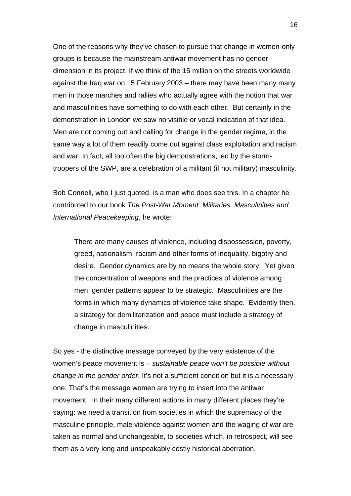One of the reasons why they've chosen to pursue that change in women-only groups is because the mainstream antiwar movement has no gender dimension in its project. If we think of the 15 million on the streets worldwide against the Iraq war on 15 February 2003 – there may have been many many men in those marches and rallies who actually agree with the notion that war and masculinities have something to do with each other. But certainly in the demonstration in London we saw no visible or vocal indication of that idea. Men are not coming out and calling for change in the gender regime, in the same way a lot of them readily come out against class exploitation and racism and war. In fact, all too often the big demonstrations, led by the stormtroopers of the SWP, are a celebration of a militant (if not military) masculinity.

Bob Connell, who I just quoted, is a man who does see this. In a chapter he contributed to our book *The Post-War Moment: Militaries, Masculinities and International Peacekeeping*, he wrote:

There are many causes of violence, including dispossession, poverty, greed, nationalism, racism and other forms of inequality, bigotry and desire. Gender dynamics are by no means the whole story. Yet given the concentration of weapons and the practices of violence among men, gender patterns appear to be strategic. Masculinities are the forms in which many dynamics of violence take shape. Evidently then, a strategy for demilitarization and peace must include a strategy of change in masculinities.

So yes - the distinctive message conveyed by the very existence of the women's peace movement is – *sustainable peace won't be possible without change in the gender order*. It's not a sufficient condition but it is a necessary one. That's the message women are trying to insert into the antiwar movement. In their many different actions in many different places they're saying: we need a transition from societies in which the supremacy of the masculine principle, male violence against women and the waging of war are taken as normal and unchangeable, to societies which, in retrospect, will see them as a very long and unspeakably costly historical aberration.